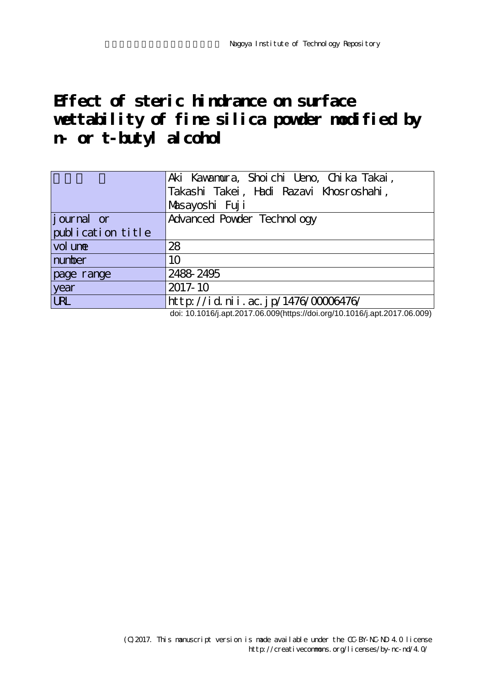# **Effect of steric hindrance on surface wettability of fine silica powder modified by n- or t-butyl alcohol**

|                    | Aki Kawamura, Shoichi Ueno, Chika Takai,                                             |  |
|--------------------|--------------------------------------------------------------------------------------|--|
|                    | Takashi Takei, Hadi Razavi Khosroshahi,                                              |  |
|                    | Masayoshi Fuji                                                                       |  |
| <i>j</i> ournal or | Advanced Powder Technol ogy                                                          |  |
| publication title  |                                                                                      |  |
| vol une            | 28                                                                                   |  |
| number             | 10                                                                                   |  |
| page range         | 2488-2495                                                                            |  |
| year               | 2017-10                                                                              |  |
| <b>LRL</b>         | http://id.nii.ac.jp/1476/00006476/<br>$1.1.10404011004700000111.1140404011004700000$ |  |

doi: 10.1016/j.apt.2017.06.009(https://doi.org/10.1016/j.apt.2017.06.009)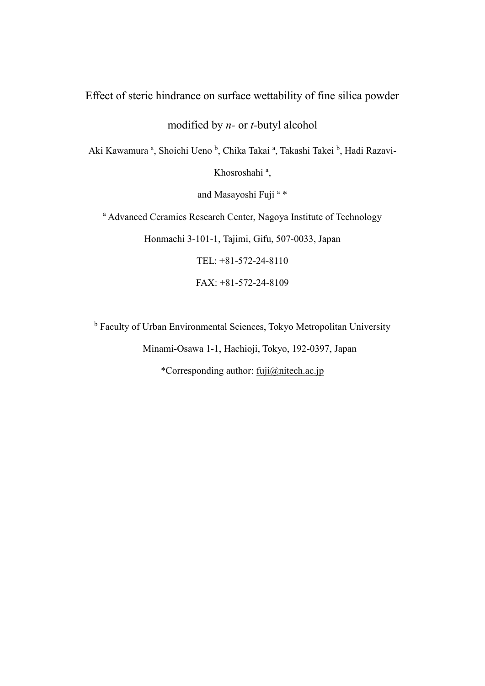# Effect of steric hindrance on surface wettability of fine silica powder

modified by *n-* or *t-*butyl alcohol

Aki Kawamura <sup>a</sup>, Shoichi Ueno <sup>b</sup>, Chika Takai <sup>a</sup>, Takashi Takei <sup>b</sup>, Hadi Razavi-

Khosroshahi<sup>a</sup>,

and Masayoshi Fuji<sup>a\*</sup>

<sup>a</sup> Advanced Ceramics Research Center, Nagoya Institute of Technology

Honmachi 3-101-1, Tajimi, Gifu, 507-0033, Japan

TEL: +81-572-24-8110

FAX: +81-572-24-8109

<sup>b</sup> Faculty of Urban Environmental Sciences, Tokyo Metropolitan University Minami-Osawa 1-1, Hachioji, Tokyo, 192-0397, Japan \*Corresponding author: [fuji@nitech.ac.jp](mailto:fuji@nitech.ac.jp)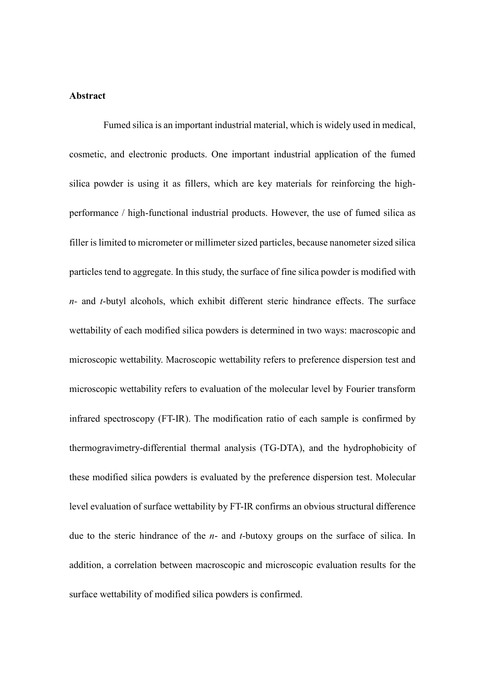## **Abstract**

Fumed silica is an important industrial material, which is widely used in medical, cosmetic, and electronic products. One important industrial application of the fumed silica powder is using it as fillers, which are key materials for reinforcing the highperformance / high-functional industrial products. However, the use of fumed silica as filler is limited to micrometer or millimeter sized particles, because nanometer sized silica particles tend to aggregate. In this study, the surface of fine silica powder is modified with *n-* and *t*-butyl alcohols, which exhibit different steric hindrance effects. The surface wettability of each modified silica powders is determined in two ways: macroscopic and microscopic wettability. Macroscopic wettability refers to preference dispersion test and microscopic wettability refers to evaluation of the molecular level by Fourier transform infrared spectroscopy (FT-IR). The modification ratio of each sample is confirmed by thermogravimetry-differential thermal analysis (TG-DTA), and the hydrophobicity of these modified silica powders is evaluated by the preference dispersion test. Molecular level evaluation of surface wettability by FT-IR confirms an obvious structural difference due to the steric hindrance of the *n*- and *t*-butoxy groups on the surface of silica. In addition, a correlation between macroscopic and microscopic evaluation results for the surface wettability of modified silica powders is confirmed.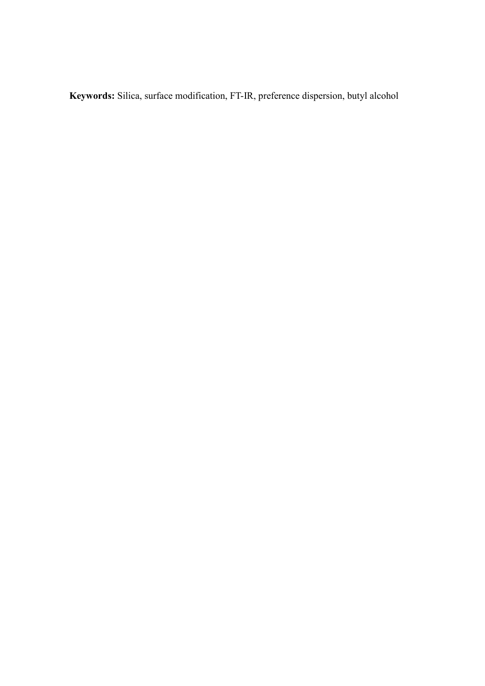**Keywords:** Silica, surface modification, FT-IR, preference dispersion, butyl alcohol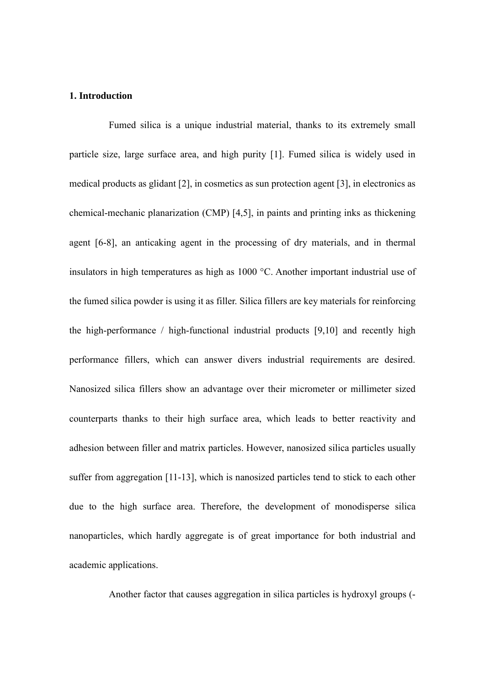## **1. Introduction**

Fumed silica is a unique industrial material, thanks to its extremely small particle size, large surface area, and high purity [1]. Fumed silica is widely used in medical products as glidant [2], in cosmetics as sun protection agent [3], in electronics as chemical-mechanic planarization (CMP) [4,5], in paints and printing inks as thickening agent [6-8], an anticaking agent in the processing of dry materials, and in thermal insulators in high temperatures as high as 1000 °C. Another important industrial use of the fumed silica powder is using it as filler. Silica fillers are key materials for reinforcing the high-performance / high-functional industrial products [9,10] and recently high performance fillers, which can answer divers industrial requirements are desired. Nanosized silica fillers show an advantage over their micrometer or millimeter sized counterparts thanks to their high surface area, which leads to better reactivity and adhesion between filler and matrix particles. However, nanosized silica particles usually suffer from aggregation [11-13], which is nanosized particles tend to stick to each other due to the high surface area. Therefore, the development of monodisperse silica nanoparticles, which hardly aggregate is of great importance for both industrial and academic applications.

Another factor that causes aggregation in silica particles is hydroxyl groups (-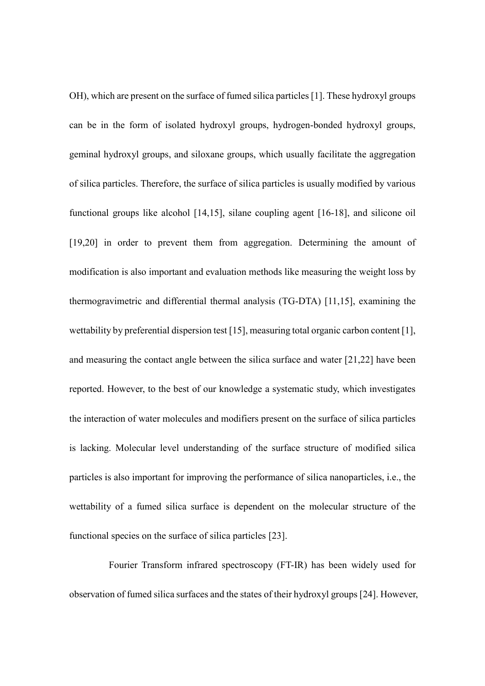OH), which are present on the surface of fumed silica particles [1]. These hydroxyl groups can be in the form of isolated hydroxyl groups, hydrogen-bonded hydroxyl groups, geminal hydroxyl groups, and siloxane groups, which usually facilitate the aggregation of silica particles. Therefore, the surface of silica particles is usually modified by various functional groups like alcohol [14,15], silane coupling agent [16-18], and silicone oil [19,20] in order to prevent them from aggregation. Determining the amount of modification is also important and evaluation methods like measuring the weight loss by thermogravimetric and differential thermal analysis (TG-DTA) [11,15], examining the wettability by preferential dispersion test [15], measuring total organic carbon content [1], and measuring the contact angle between the silica surface and water [21,22] have been reported. However, to the best of our knowledge a systematic study, which investigates the interaction of water molecules and modifiers present on the surface of silica particles is lacking. Molecular level understanding of the surface structure of modified silica particles is also important for improving the performance of silica nanoparticles, i.e., the wettability of a fumed silica surface is dependent on the molecular structure of the functional species on the surface of silica particles [23].

Fourier Transform infrared spectroscopy (FT-IR) has been widely used for observation of fumed silica surfaces and the states of their hydroxyl groups [24]. However,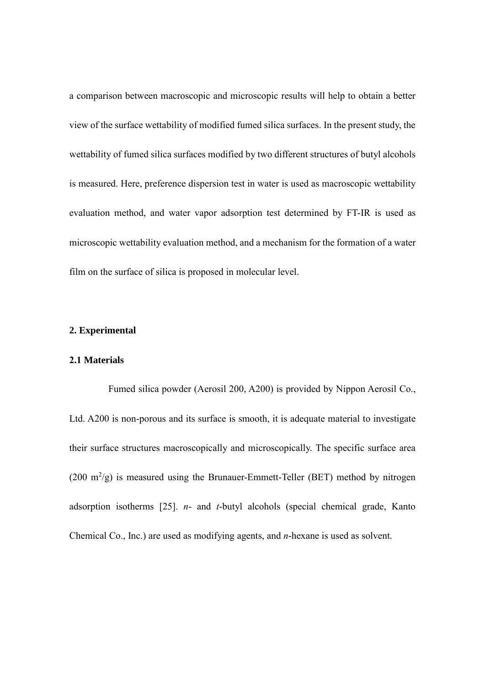a comparison between macroscopic and microscopic results will help to obtain a better view of the surface wettability of modified fumed silica surfaces. In the present study, the wettability of fumed silica surfaces modified by two different structures of butyl alcohols is measured. Here, preference dispersion test in water is used as macroscopic wettability evaluation method, and water vapor adsorption test determined by FT-IR is used as microscopic wettability evaluation method, and a mechanism for the formation of a water film on the surface of silica is proposed in molecular level.

#### **2. Experimental**

#### **2.1 Materials**

Fumed silica powder (Aerosil 200, A200) is provided by Nippon Aerosil Co., Ltd. A200 is non-porous and its surface is smooth, it is adequate material to investigate their surface structures macroscopically and microscopically. The specific surface area  $(200 \text{ m}^2/\text{g})$  is measured using the Brunauer-Emmett-Teller (BET) method by nitrogen adsorption isotherms [25]. *n*- and *t*-butyl alcohols (special chemical grade, Kanto Chemical Co., Inc.) are used as modifying agents, and *n*-hexane is used as solvent.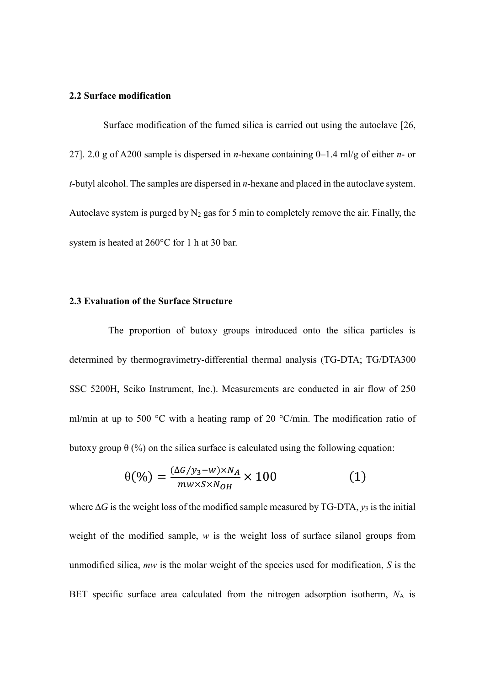# **2.2 Surface modification**

Surface modification of the fumed silica is carried out using the autoclave [26, 27]. 2.0 g of A200 sample is dispersed in *n*-hexane containing 0–1.4 ml/g of either *n*- or *t*-butyl alcohol. The samples are dispersed in *n*-hexane and placed in the autoclave system. Autoclave system is purged by  $N_2$  gas for 5 min to completely remove the air. Finally, the system is heated at 260°C for 1 h at 30 bar.

# **2.3 Evaluation of the Surface Structure**

The proportion of butoxy groups introduced onto the silica particles is determined by thermogravimetry-differential thermal analysis (TG-DTA; TG/DTA300 SSC 5200H, Seiko Instrument, Inc.). Measurements are conducted in air flow of 250 ml/min at up to 500 °C with a heating ramp of 20 °C/min. The modification ratio of butoxy group  $\theta$  (%) on the silica surface is calculated using the following equation:

$$
\theta(\%) = \frac{(\Delta G / y_3 - w) \times N_A}{mw \times S \times N_{OH}} \times 100
$$
 (1)

where  $\Delta G$  is the weight loss of the modified sample measured by TG-DTA,  $y_3$  is the initial weight of the modified sample, *w* is the weight loss of surface silanol groups from unmodified silica, *mw* is the molar weight of the species used for modification, *S* is the BET specific surface area calculated from the nitrogen adsorption isotherm, *N*<sup>A</sup> is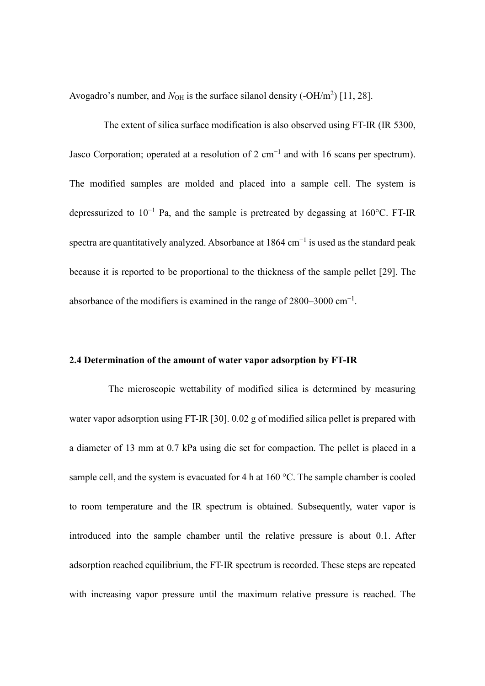Avogadro's number, and  $N_{OH}$  is the surface silanol density  $(-OH/m^2)$  [11, 28].

The extent of silica surface modification is also observed using FT-IR (IR 5300, Jasco Corporation; operated at a resolution of 2 cm<sup>-1</sup> and with 16 scans per spectrum). The modified samples are molded and placed into a sample cell. The system is depressurized to  $10^{-1}$  Pa, and the sample is pretreated by degassing at 160°C. FT-IR spectra are quantitatively analyzed. Absorbance at  $1864 \text{ cm}^{-1}$  is used as the standard peak because it is reported to be proportional to the thickness of the sample pellet [29]. The absorbance of the modifiers is examined in the range of  $2800-3000$  cm<sup>-1</sup>.

#### **2.4 Determination of the amount of water vapor adsorption by FT-IR**

The microscopic wettability of modified silica is determined by measuring water vapor adsorption using FT-IR [30]. 0.02 g of modified silica pellet is prepared with a diameter of 13 mm at 0.7 kPa using die set for compaction. The pellet is placed in a sample cell, and the system is evacuated for 4 h at  $160^{\circ}$ C. The sample chamber is cooled to room temperature and the IR spectrum is obtained. Subsequently, water vapor is introduced into the sample chamber until the relative pressure is about 0.1. After adsorption reached equilibrium, the FT-IR spectrum is recorded. These steps are repeated with increasing vapor pressure until the maximum relative pressure is reached. The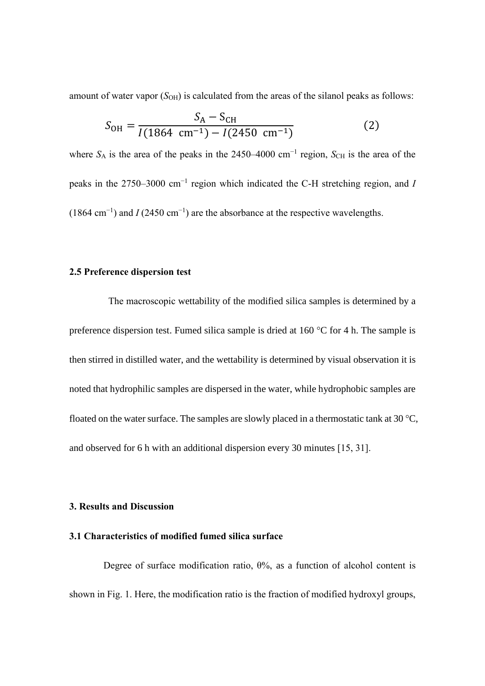amount of water vapor  $(S<sub>OH</sub>)$  is calculated from the areas of the silanol peaks as follows:

$$
S_{\text{OH}} = \frac{S_{\text{A}} - S_{\text{CH}}}{I(1864 \text{ cm}^{-1}) - I(2450 \text{ cm}^{-1})}
$$
(2)

where  $S_A$  is the area of the peaks in the 2450–4000 cm<sup>-1</sup> region,  $S_{CH}$  is the area of the peaks in the 2750–3000 cm−1 region which indicated the C-H stretching region, and *I*  $(1864 \text{ cm}^{-1})$  and *I* (2450 cm<sup>-1</sup>) are the absorbance at the respective wavelengths.

## **2.5 Preference dispersion test**

The macroscopic wettability of the modified silica samples is determined by a preference dispersion test. Fumed silica sample is dried at 160 °C for 4 h. The sample is then stirred in distilled water, and the wettability is determined by visual observation it is noted that hydrophilic samples are dispersed in the water, while hydrophobic samples are floated on the water surface. The samples are slowly placed in a thermostatic tank at 30  $^{\circ}C$ , and observed for 6 h with an additional dispersion every 30 minutes [15, 31].

#### **3. Results and Discussion**

## **3.1 Characteristics of modified fumed silica surface**

Degree of surface modification ratio,  $\theta$ %, as a function of alcohol content is shown in Fig. 1. Here, the modification ratio is the fraction of modified hydroxyl groups,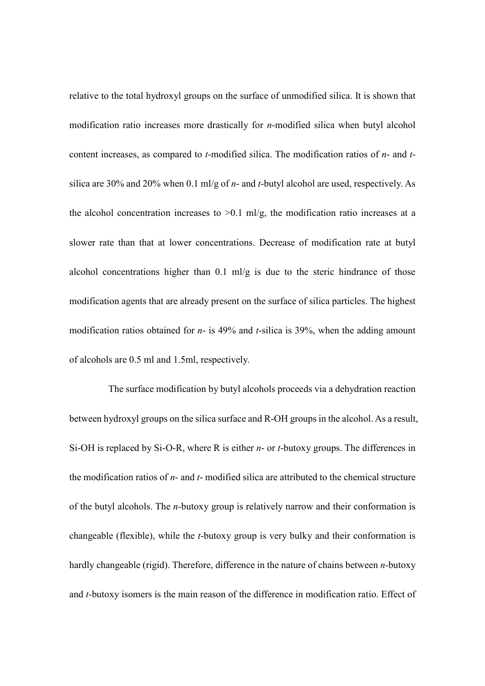relative to the total hydroxyl groups on the surface of unmodified silica. It is shown that modification ratio increases more drastically for *n*-modified silica when butyl alcohol content increases, as compared to *t*-modified silica. The modification ratios of *n*- and *t*silica are 30% and 20% when 0.1 ml/g of *n*- and *t*-butyl alcohol are used, respectively. As the alcohol concentration increases to  $>0.1$  ml/g, the modification ratio increases at a slower rate than that at lower concentrations. Decrease of modification rate at butyl alcohol concentrations higher than 0.1 ml/g is due to the steric hindrance of those modification agents that are already present on the surface of silica particles. The highest modification ratios obtained for *n*- is 49% and *t*-silica is 39%, when the adding amount of alcohols are 0.5 ml and 1.5ml, respectively.

The surface modification by butyl alcohols proceeds via a dehydration reaction between hydroxyl groups on the silica surface and R-OH groups in the alcohol. As a result, Si-OH is replaced by Si-O-R, where R is either *n*- or *t*-butoxy groups. The differences in the modification ratios of *n*- and *t*- modified silica are attributed to the chemical structure of the butyl alcohols. The *n-*butoxy group is relatively narrow and their conformation is changeable (flexible), while the *t*-butoxy group is very bulky and their conformation is hardly changeable (rigid). Therefore, difference in the nature of chains between *n-*butoxy and *t-*butoxy isomers is the main reason of the difference in modification ratio. Effect of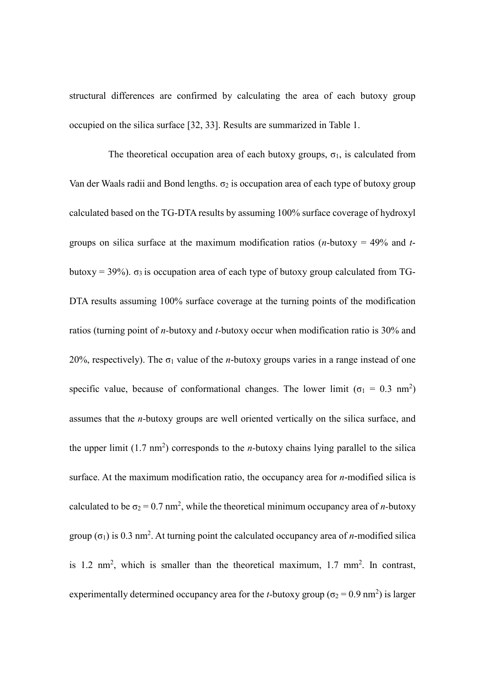structural differences are confirmed by calculating the area of each butoxy group occupied on the silica surface [32, 33]. Results are summarized in Table 1.

The theoretical occupation area of each butoxy groups,  $\sigma_1$ , is calculated from Van der Waals radii and Bond lengths.  $\sigma_2$  is occupation area of each type of butoxy group calculated based on the TG-DTA results by assuming 100% surface coverage of hydroxyl groups on silica surface at the maximum modification ratios (*n*-butoxy = 49% and *t*butoxy = 39%).  $\sigma_3$  is occupation area of each type of butoxy group calculated from TG-DTA results assuming 100% surface coverage at the turning points of the modification ratios (turning point of *n-*butoxy and *t-*butoxy occur when modification ratio is 30% and 20%, respectively). The  $\sigma_1$  value of the *n*-butoxy groups varies in a range instead of one specific value, because of conformational changes. The lower limit ( $\sigma_1 = 0.3$  nm<sup>2</sup>) assumes that the *n-*butoxy groups are well oriented vertically on the silica surface, and the upper limit  $(1.7 \text{ nm}^2)$  corresponds to the *n*-butoxy chains lying parallel to the silica surface. At the maximum modification ratio, the occupancy area for *n*-modified silica is calculated to be  $\sigma_2 = 0.7$  nm<sup>2</sup>, while the theoretical minimum occupancy area of *n*-butoxy group  $(\sigma_1)$  is 0.3 nm<sup>2</sup>. At turning point the calculated occupancy area of *n*-modified silica is 1.2 nm<sup>2</sup>, which is smaller than the theoretical maximum, 1.7 mm<sup>2</sup>. In contrast, experimentally determined occupancy area for the *t*-butoxy group ( $\sigma_2 = 0.9$  nm<sup>2</sup>) is larger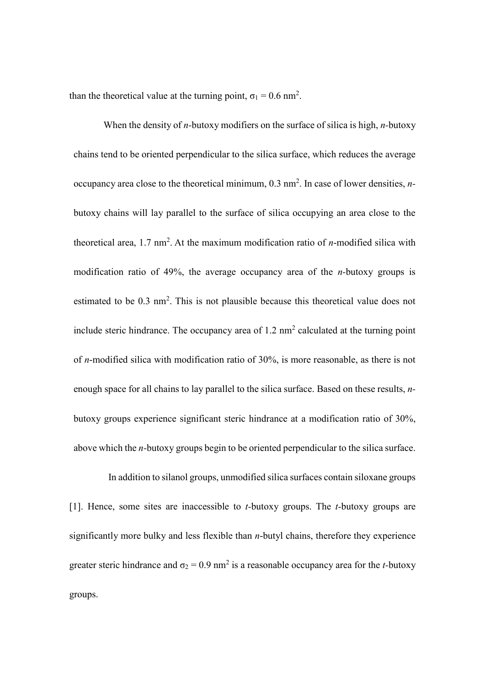than the theoretical value at the turning point,  $\sigma_1 = 0.6$  nm<sup>2</sup>.

When the density of *n-*butoxy modifiers on the surface of silica is high, *n-*butoxy chains tend to be oriented perpendicular to the silica surface, which reduces the average occupancy area close to the theoretical minimum, 0.3 nm<sup>2</sup>. In case of lower densities, *n*butoxy chains will lay parallel to the surface of silica occupying an area close to the theoretical area,  $1.7 \text{ nm}^2$ . At the maximum modification ratio of *n*-modified silica with modification ratio of 49%, the average occupancy area of the *n-*butoxy groups is estimated to be 0.3 nm<sup>2</sup>. This is not plausible because this theoretical value does not include steric hindrance. The occupancy area of  $1.2 \text{ nm}^2$  calculated at the turning point of *n*-modified silica with modification ratio of 30%, is more reasonable, as there is not enough space for all chains to lay parallel to the silica surface. Based on these results, *n*butoxy groups experience significant steric hindrance at a modification ratio of 30%, above which the *n-*butoxy groups begin to be oriented perpendicular to the silica surface.

In addition to silanol groups, unmodified silica surfaces contain siloxane groups [1]. Hence, some sites are inaccessible to *t-*butoxy groups. The *t-*butoxy groups are significantly more bulky and less flexible than *n*-butyl chains, therefore they experience greater steric hindrance and  $\sigma_2 = 0.9$  nm<sup>2</sup> is a reasonable occupancy area for the *t*-butoxy groups.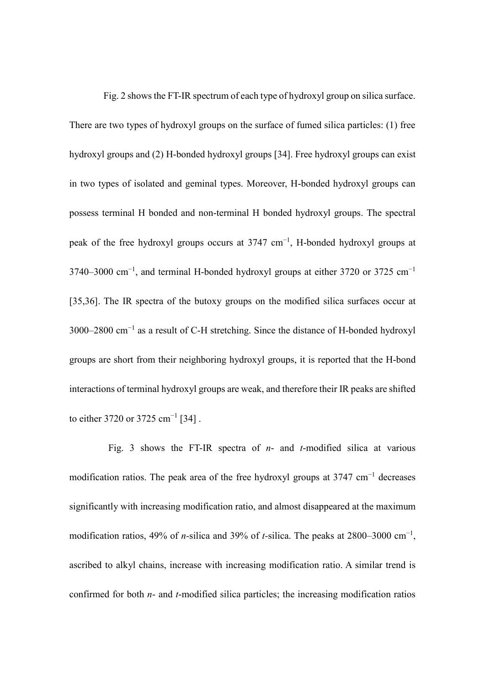Fig. 2 shows the FT-IR spectrum of each type of hydroxyl group on silica surface. There are two types of hydroxyl groups on the surface of fumed silica particles: (1) free hydroxyl groups and (2) H-bonded hydroxyl groups [34]. Free hydroxyl groups can exist in two types of isolated and geminal types. Moreover, H-bonded hydroxyl groups can possess terminal H bonded and non-terminal H bonded hydroxyl groups. The spectral peak of the free hydroxyl groups occurs at 3747 cm<sup>-1</sup>, H-bonded hydroxyl groups at 3740–3000 cm<sup>-1</sup>, and terminal H-bonded hydroxyl groups at either 3720 or 3725 cm<sup>-1</sup> [35,36]. The IR spectra of the butoxy groups on the modified silica surfaces occur at 3000–2800 cm<sup>-1</sup> as a result of C-H stretching. Since the distance of H-bonded hydroxyl groups are short from their neighboring hydroxyl groups, it is reported that the H-bond interactions of terminal hydroxyl groups are weak, and therefore their IR peaks are shifted to either 3720 or 3725 cm<sup>-1</sup> [34].

Fig. 3 shows the FT-IR spectra of *n*- and *t*-modified silica at various modification ratios. The peak area of the free hydroxyl groups at 3747 cm<sup>-1</sup> decreases significantly with increasing modification ratio, and almost disappeared at the maximum modification ratios, 49% of *n-*silica and 39% of *t-*silica. The peaks at 2800–3000 cm−1 , ascribed to alkyl chains, increase with increasing modification ratio. A similar trend is confirmed for both *n*- and *t*-modified silica particles; the increasing modification ratios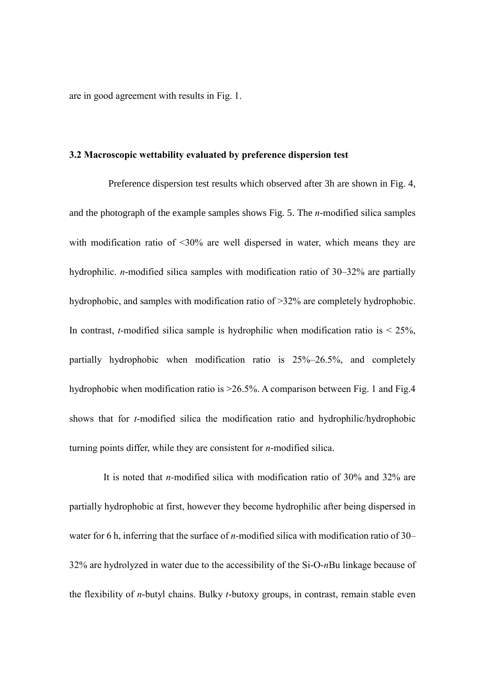are in good agreement with results in Fig. 1.

#### **3.2 Macroscopic wettability evaluated by preference dispersion test**

Preference dispersion test results which observed after 3h are shown in Fig. 4, and the photograph of the example samples shows Fig. 5. The *n*-modified silica samples with modification ratio of <30% are well dispersed in water, which means they are hydrophilic. *n*-modified silica samples with modification ratio of 30–32% are partially hydrophobic, and samples with modification ratio of >32% are completely hydrophobic. In contrast, *t*-modified silica sample is hydrophilic when modification ratio is  $\leq$  25%, partially hydrophobic when modification ratio is 25%–26.5%, and completely hydrophobic when modification ratio is  $>26.5\%$ . A comparison between Fig. 1 and Fig. 4 shows that for *t*-modified silica the modification ratio and hydrophilic/hydrophobic turning points differ, while they are consistent for *n*-modified silica.

It is noted that *n-*modified silica with modification ratio of 30% and 32% are partially hydrophobic at first, however they become hydrophilic after being dispersed in water for 6 h, inferring that the surface of *n-*modified silica with modification ratio of 30– 32% are hydrolyzed in water due to the accessibility of the Si-O-*n*Bu linkage because of the flexibility of *n*-butyl chains. Bulky *t*-butoxy groups, in contrast, remain stable even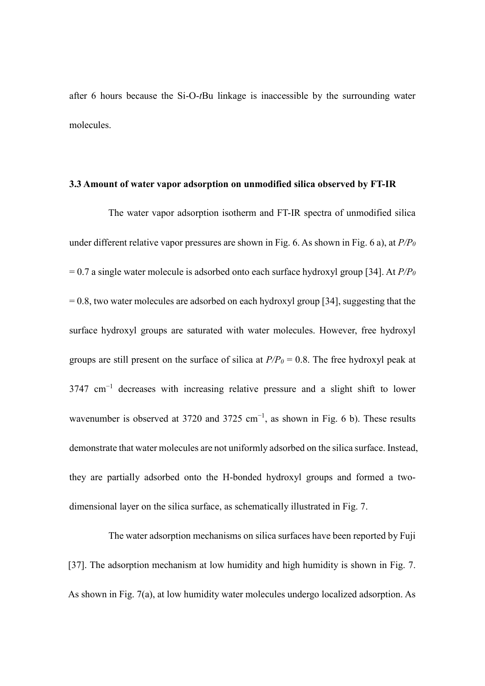after 6 hours because the Si-O-*t*Bu linkage is inaccessible by the surrounding water molecules.

#### **3.3 Amount of water vapor adsorption on unmodified silica observed by FT-IR**

The water vapor adsorption isotherm and FT-IR spectra of unmodified silica under different relative vapor pressures are shown in Fig. 6. As shown in Fig. 6 a), at *P/P<sup>0</sup>* = 0.7 a single water molecule is adsorbed onto each surface hydroxyl group [34]. At *P/P<sup>0</sup>*  $= 0.8$ , two water molecules are adsorbed on each hydroxyl group [34], suggesting that the surface hydroxyl groups are saturated with water molecules. However, free hydroxyl groups are still present on the surface of silica at  $P/P<sub>0</sub> = 0.8$ . The free hydroxyl peak at  $3747 \text{ cm}^{-1}$  decreases with increasing relative pressure and a slight shift to lower wavenumber is observed at 3720 and 3725 cm<sup>-1</sup>, as shown in Fig. 6 b). These results demonstrate that water molecules are not uniformly adsorbed on the silica surface. Instead, they are partially adsorbed onto the H-bonded hydroxyl groups and formed a twodimensional layer on the silica surface, as schematically illustrated in Fig. 7.

The water adsorption mechanisms on silica surfaces have been reported by Fuji [37]. The adsorption mechanism at low humidity and high humidity is shown in Fig. 7. As shown in Fig. 7(a), at low humidity water molecules undergo localized adsorption. As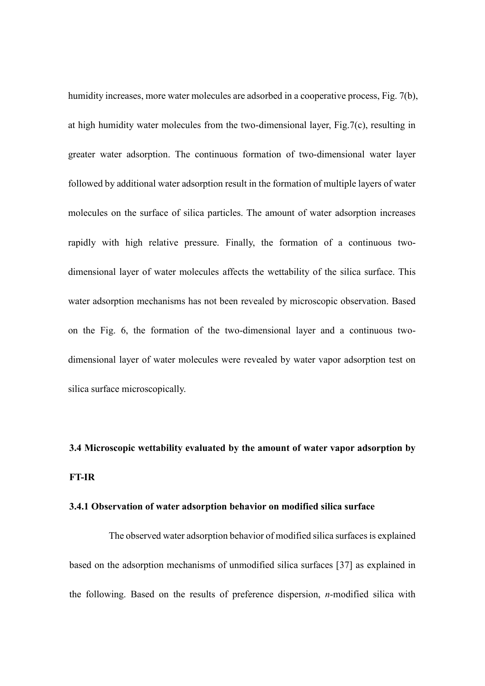humidity increases, more water molecules are adsorbed in a cooperative process, Fig. 7(b), at high humidity water molecules from the two-dimensional layer, Fig.7(c), resulting in greater water adsorption. The continuous formation of two-dimensional water layer followed by additional water adsorption result in the formation of multiple layers of water molecules on the surface of silica particles. The amount of water adsorption increases rapidly with high relative pressure. Finally, the formation of a continuous twodimensional layer of water molecules affects the wettability of the silica surface. This water adsorption mechanisms has not been revealed by microscopic observation. Based on the Fig. 6, the formation of the two-dimensional layer and a continuous twodimensional layer of water molecules were revealed by water vapor adsorption test on silica surface microscopically.

# **3.4 Microscopic wettability evaluated by the amount of water vapor adsorption by FT-IR**

#### **3.4.1 Observation of water adsorption behavior on modified silica surface**

The observed water adsorption behavior of modified silica surfaces is explained based on the adsorption mechanisms of unmodified silica surfaces [37] as explained in the following. Based on the results of preference dispersion, *n-*modified silica with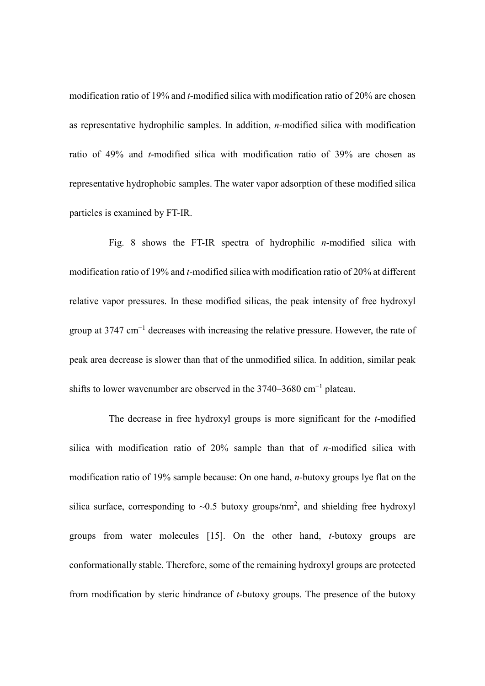modification ratio of 19% and *t*-modified silica with modification ratio of 20% are chosen as representative hydrophilic samples. In addition, *n-*modified silica with modification ratio of 49% and *t*-modified silica with modification ratio of 39% are chosen as representative hydrophobic samples. The water vapor adsorption of these modified silica particles is examined by FT-IR.

Fig. 8 shows the FT-IR spectra of hydrophilic *n-*modified silica with modification ratio of 19% and *t-*modified silica with modification ratio of 20% at different relative vapor pressures. In these modified silicas, the peak intensity of free hydroxyl group at 3747 cm<sup>-1</sup> decreases with increasing the relative pressure. However, the rate of peak area decrease is slower than that of the unmodified silica. In addition, similar peak shifts to lower wavenumber are observed in the  $3740-3680$  cm<sup>-1</sup> plateau.

The decrease in free hydroxyl groups is more significant for the *t-*modified silica with modification ratio of 20% sample than that of *n-*modified silica with modification ratio of 19% sample because: On one hand, *n-*butoxy groups lye flat on the silica surface, corresponding to  $\sim 0.5$  butoxy groups/nm<sup>2</sup>, and shielding free hydroxyl groups from water molecules [15]. On the other hand, *t-*butoxy groups are conformationally stable. Therefore, some of the remaining hydroxyl groups are protected from modification by steric hindrance of *t-*butoxy groups. The presence of the butoxy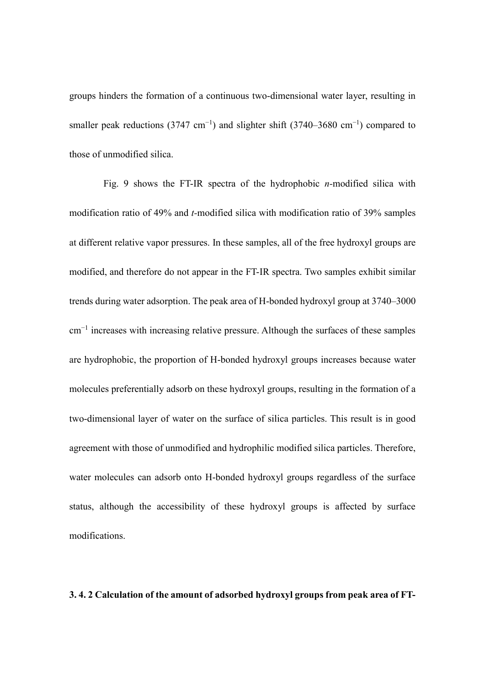groups hinders the formation of a continuous two-dimensional water layer, resulting in smaller peak reductions (3747 cm<sup>-1</sup>) and slighter shift (3740–3680 cm<sup>-1</sup>) compared to those of unmodified silica.

Fig. 9 shows the FT-IR spectra of the hydrophobic *n-*modified silica with modification ratio of 49% and *t-*modified silica with modification ratio of 39% samples at different relative vapor pressures. In these samples, all of the free hydroxyl groups are modified, and therefore do not appear in the FT-IR spectra. Two samples exhibit similar trends during water adsorption. The peak area of H-bonded hydroxyl group at 3740–3000 cm−1 increases with increasing relative pressure. Although the surfaces of these samples are hydrophobic, the proportion of H-bonded hydroxyl groups increases because water molecules preferentially adsorb on these hydroxyl groups, resulting in the formation of a two-dimensional layer of water on the surface of silica particles. This result is in good agreement with those of unmodified and hydrophilic modified silica particles. Therefore, water molecules can adsorb onto H-bonded hydroxyl groups regardless of the surface status, although the accessibility of these hydroxyl groups is affected by surface modifications.

#### **3. 4. 2 Calculation of the amount of adsorbed hydroxyl groups from peak area of FT-**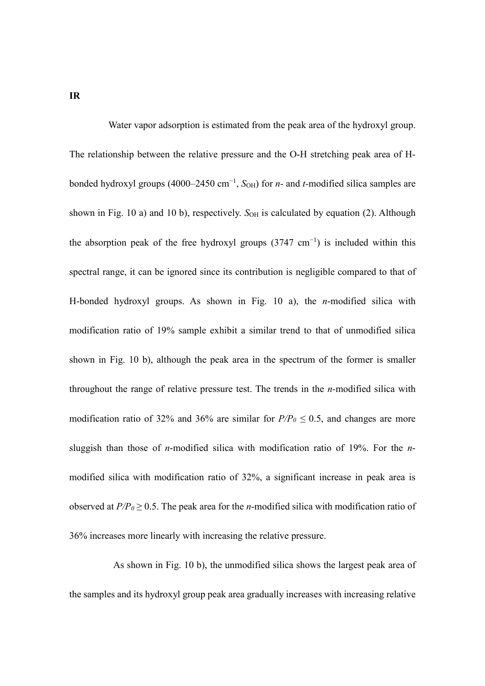Water vapor adsorption is estimated from the peak area of the hydroxyl group. The relationship between the relative pressure and the O-H stretching peak area of Hbonded hydroxyl groups (4000–2450 cm<sup>-1</sup>, S<sub>OH</sub>) for *n*- and *t*-modified silica samples are shown in Fig. 10 a) and 10 b), respectively.  $S_{OH}$  is calculated by equation (2). Although the absorption peak of the free hydroxyl groups  $(3747 \text{ cm}^{-1})$  is included within this spectral range, it can be ignored since its contribution is negligible compared to that of H-bonded hydroxyl groups. As shown in Fig. 10 a), the *n*-modified silica with modification ratio of 19% sample exhibit a similar trend to that of unmodified silica shown in Fig. 10 b), although the peak area in the spectrum of the former is smaller throughout the range of relative pressure test. The trends in the *n-*modified silica with modification ratio of 32% and 36% are similar for  $P/P<sub>0</sub> \le 0.5$ , and changes are more sluggish than those of *n*-modified silica with modification ratio of 19%. For the *n*modified silica with modification ratio of 32%, a significant increase in peak area is observed at  $P/P_0 \ge 0.5$ . The peak area for the *n*-modified silica with modification ratio of 36% increases more linearly with increasing the relative pressure.

As shown in Fig. 10 b), the unmodified silica shows the largest peak area of the samples and its hydroxyl group peak area gradually increases with increasing relative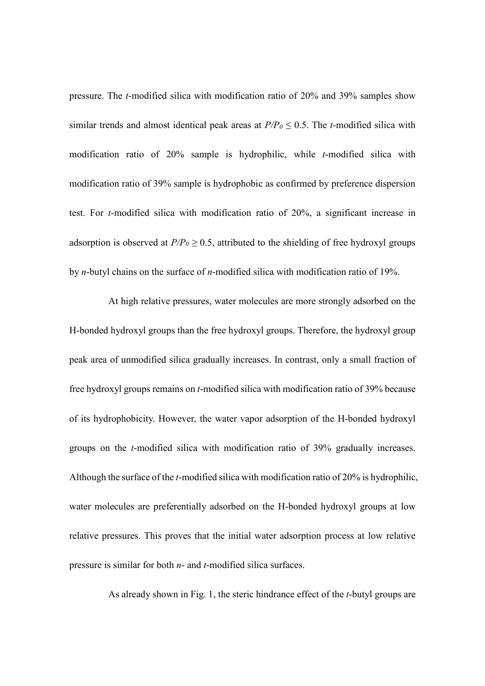pressure. The *t*-modified silica with modification ratio of 20% and 39% samples show similar trends and almost identical peak areas at  $P/P<sub>0</sub> \le 0.5$ . The *t*-modified silica with modification ratio of 20% sample is hydrophilic, while *t*-modified silica with modification ratio of 39% sample is hydrophobic as confirmed by preference dispersion test. For *t*-modified silica with modification ratio of 20%, a significant increase in adsorption is observed at  $P/P_0 \ge 0.5$ , attributed to the shielding of free hydroxyl groups by *n*-butyl chains on the surface of *n*-modified silica with modification ratio of 19%.

At high relative pressures, water molecules are more strongly adsorbed on the H-bonded hydroxyl groups than the free hydroxyl groups. Therefore, the hydroxyl group peak area of unmodified silica gradually increases. In contrast, only a small fraction of free hydroxyl groups remains on *t*-modified silica with modification ratio of 39% because of its hydrophobicity. However, the water vapor adsorption of the H-bonded hydroxyl groups on the *t*-modified silica with modification ratio of 39% gradually increases. Although the surface of the *t*-modified silica with modification ratio of 20% is hydrophilic, water molecules are preferentially adsorbed on the H-bonded hydroxyl groups at low relative pressures. This proves that the initial water adsorption process at low relative pressure is similar for both *n*- and *t*-modified silica surfaces.

As already shown in Fig. 1, the steric hindrance effect of the *t*-butyl groups are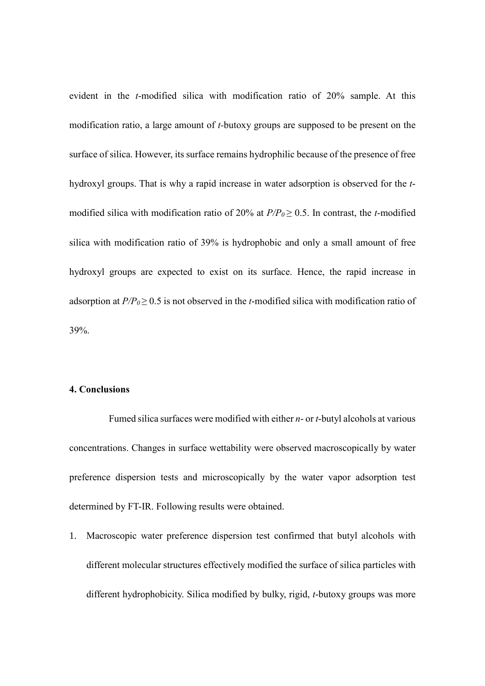evident in the *t*-modified silica with modification ratio of 20% sample. At this modification ratio, a large amount of *t-*butoxy groups are supposed to be present on the surface of silica. However, its surface remains hydrophilic because of the presence of free hydroxyl groups. That is why a rapid increase in water adsorption is observed for the *t*modified silica with modification ratio of 20% at  $P/P<sub>0</sub> \ge 0.5$ . In contrast, the *t*-modified silica with modification ratio of 39% is hydrophobic and only a small amount of free hydroxyl groups are expected to exist on its surface. Hence, the rapid increase in adsorption at  $P/P_0 \ge 0.5$  is not observed in the *t*-modified silica with modification ratio of 39%.

#### **4. Conclusions**

Fumed silica surfaces were modified with either *n*- or *t*-butyl alcohols at various concentrations. Changes in surface wettability were observed macroscopically by water preference dispersion tests and microscopically by the water vapor adsorption test determined by FT-IR. Following results were obtained.

1. Macroscopic water preference dispersion test confirmed that butyl alcohols with different molecular structures effectively modified the surface of silica particles with different hydrophobicity. Silica modified by bulky, rigid, *t*-butoxy groups was more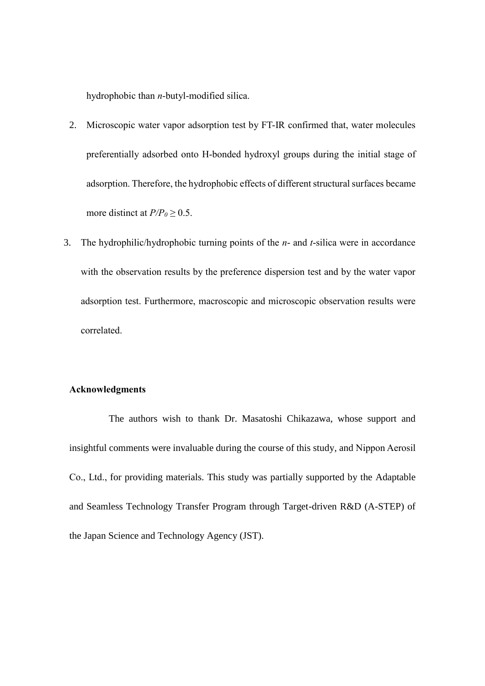hydrophobic than *n*-butyl-modified silica.

- 2. Microscopic water vapor adsorption test by FT-IR confirmed that, water molecules preferentially adsorbed onto H-bonded hydroxyl groups during the initial stage of adsorption. Therefore, the hydrophobic effects of different structural surfaces became more distinct at  $P/P<sub>0</sub> \ge 0.5$ .
- 3. The hydrophilic/hydrophobic turning points of the *n* and *t*-silica were in accordance with the observation results by the preference dispersion test and by the water vapor adsorption test. Furthermore, macroscopic and microscopic observation results were correlated.

# **Acknowledgments**

The authors wish to thank Dr. Masatoshi Chikazawa, whose support and insightful comments were invaluable during the course of this study, and Nippon Aerosil Co., Ltd., for providing materials. This study was partially supported by the Adaptable and Seamless Technology Transfer Program through Target-driven R&D (A-STEP) of the Japan Science and Technology Agency (JST).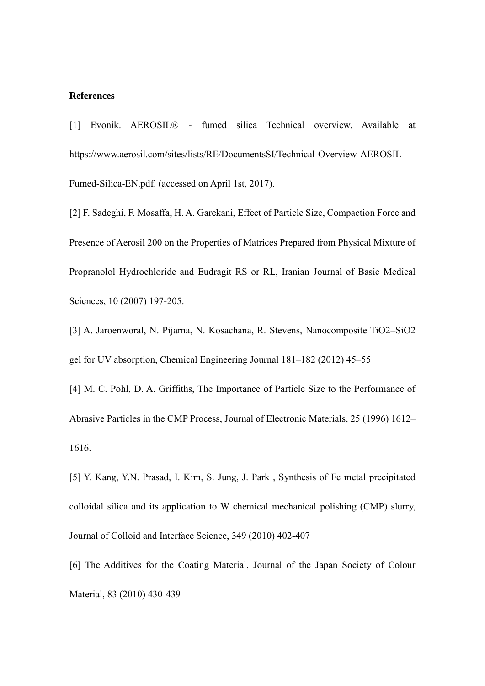#### **References**

[1] Evonik. AEROSIL® - fumed silica Technical overview. Available at https://www.aerosil.com/sites/lists/RE/DocumentsSI/Technical-Overview-AEROSIL-Fumed-Silica-EN.pdf. (accessed on April 1st, 2017).

[2] F. Sadeghi, F. Mosaffa, H. A. Garekani, Effect of Particle Size, Compaction Force and Presence of Aerosil 200 on the Properties of Matrices Prepared from Physical Mixture of Propranolol Hydrochloride and Eudragit RS or RL, Iranian Journal of Basic Medical Sciences, 10 (2007) 197-205.

[3] A. Jaroenworal, N. Pijarna, N. Kosachana, R. Stevens, Nanocomposite TiO2–SiO2 gel for UV absorption, Chemical Engineering Journal 181–182 (2012) 45–55

[4] M. C. Pohl, D. A. Griffiths, The Importance of Particle Size to the Performance of Abrasive Particles in the CMP Process, Journal of Electronic Materials, 25 (1996) 1612– 1616.

[5] Y. Kang, Y.N. Prasad, I. Kim, S. Jung, J. Park , Synthesis of Fe metal precipitated colloidal silica and its application to W chemical mechanical polishing (CMP) slurry, Journal of Colloid and Interface Science, 349 (2010) 402-407

[6] The Additives for the Coating Material, Journal of the Japan Society of Colour Material, 83 (2010) 430-439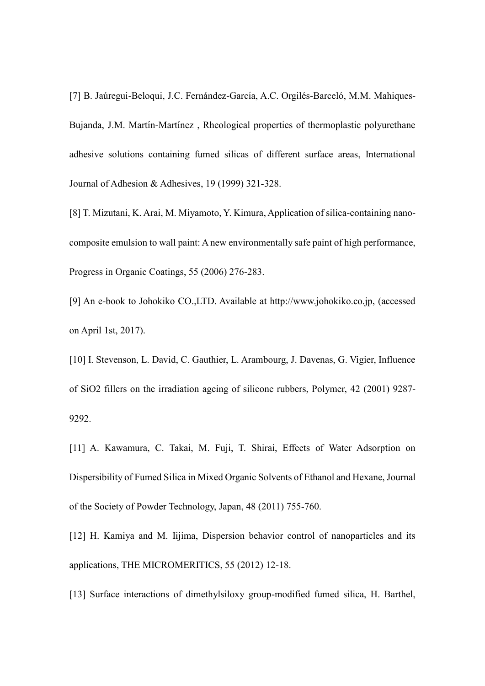[7] B. Jaúregui-Beloqui, J.C. Fernández-García, A.C. Orgilés-Barceló, M.M. Mahiques-Bujanda, J.M. Martín-Martínez, Rheological properties of thermoplastic polyurethane adhesive solutions containing fumed silicas of different surface areas, International Journal of Adhesion & Adhesives, 19 (1999) 321-328.

[8] T. Mizutani, K. Arai, M. Miyamoto, Y. Kimura, Application of silica-containing nanocomposite emulsion to wall paint: A new environmentally safe paint of high performance, Progress in Organic Coatings, 55 (2006) 276-283.

[9] An e-book to Johokiko CO.,LTD. Available at http://www.johokiko.co.jp, (accessed on April 1st, 2017).

[10] I. Stevenson, L. David, C. Gauthier, L. Arambourg, J. Davenas, G. Vigier, Influence of SiO2 fillers on the irradiation ageing of silicone rubbers, Polymer, 42 (2001) 9287- 9292.

[11] A. Kawamura, C. Takai, M. Fuji, T. Shirai, Effects of Water Adsorption on Dispersibility of Fumed Silica in Mixed Organic Solvents of Ethanol and Hexane, Journal of the Society of Powder Technology, Japan, 48 (2011) 755-760.

[12] H. Kamiya and M. Iijima, Dispersion behavior control of nanoparticles and its applications, THE MICROMERITICS, 55 (2012) 12-18.

[13] Surface interactions of dimethylsiloxy group-modified fumed silica, H. Barthel,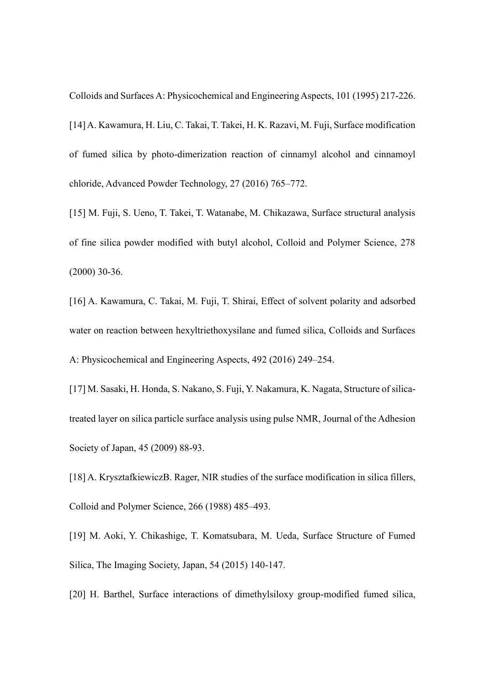Colloids and Surfaces A: Physicochemical and Engineering Aspects, 101 (1995) 217-226.

[14] A. Kawamura, H. Liu, C. Takai, T. Takei, H. K. Razavi, M. Fuji, Surface modification of fumed silica by photo-dimerization reaction of cinnamyl alcohol and cinnamoyl chloride, Advanced Powder Technology, 27 (2016) 765–772.

[15] M. Fuji, S. Ueno, T. Takei, T. Watanabe, M. Chikazawa, Surface structural analysis of fine silica powder modified with butyl alcohol, Colloid and Polymer Science, 278 (2000) 30-36.

[16] A. Kawamura, C. Takai, M. Fuji, T. Shirai, Effect of solvent polarity and adsorbed water on reaction between hexyltriethoxysilane and fumed silica, Colloids and Surfaces A: Physicochemical and Engineering Aspects, 492 (2016) 249–254.

[17] M. Sasaki, H. Honda, S. Nakano, S. Fuji, Y. Nakamura, K. Nagata, Structure of silicatreated layer on silica particle surface analysis using pulse NMR, Journal of the Adhesion Society of Japan, 45 (2009) 88-93.

[18] A. KrysztafkiewiczB. Rager, NIR studies of the surface modification in silica fillers, Colloid and Polymer Science, 266 (1988) 485–493.

[19] M. Aoki, Y. Chikashige, T. Komatsubara, M. Ueda, Surface Structure of Fumed Silica, The Imaging Society, Japan, 54 (2015) 140-147.

[20] H. Barthel, Surface interactions of dimethylsiloxy group-modified fumed silica,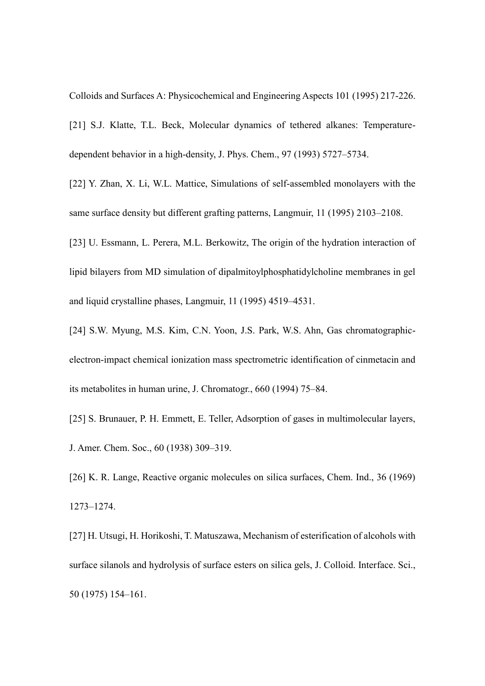Colloids and Surfaces A: Physicochemical and Engineering Aspects 101 (1995) 217-226.

[21] S.J. Klatte, T.L. Beck, Molecular dynamics of tethered alkanes: Temperaturedependent behavior in a high-density, J. Phys. Chem., 97 (1993) 5727–5734.

[22] Y. Zhan, X. Li, W.L. Mattice, Simulations of self-assembled monolayers with the same surface density but different grafting patterns, Langmuir, 11 (1995) 2103–2108.

[23] U. Essmann, L. Perera, M.L. Berkowitz, The origin of the hydration interaction of lipid bilayers from MD simulation of dipalmitoylphosphatidylcholine membranes in gel and liquid crystalline phases, Langmuir, 11 (1995) 4519–4531.

[24] S.W. Myung, M.S. Kim, C.N. Yoon, J.S. Park, W.S. Ahn, Gas chromatographicelectron-impact chemical ionization mass spectrometric identification of cinmetacin and its metabolites in human urine, J. Chromatogr., 660 (1994) 75–84.

[25] S. Brunauer, P. H. Emmett, E. Teller, Adsorption of gases in multimolecular layers, J. Amer. Chem. Soc., 60 (1938) 309–319.

[26] K. R. Lange, Reactive organic molecules on silica surfaces, Chem. Ind., 36 (1969) 1273–1274.

[27] H. Utsugi, H. Horikoshi, T. Matuszawa, Mechanism of esterification of alcohols with surface silanols and hydrolysis of surface esters on silica gels, J. Colloid. Interface. Sci., 50 (1975) 154–161.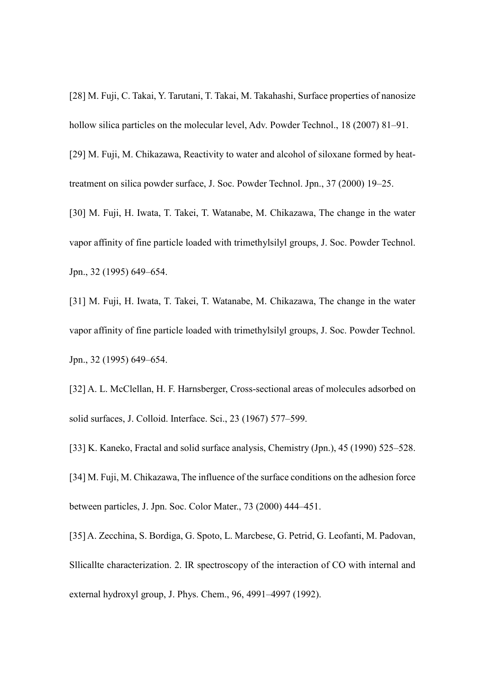[28] M. Fuji, C. Takai, Y. Tarutani, T. Takai, M. Takahashi, Surface properties of nanosize hollow silica particles on the molecular level, Adv. Powder Technol., 18 (2007) 81–91.

[29] M. Fuji, M. Chikazawa, Reactivity to water and alcohol of siloxane formed by heattreatment on silica powder surface, J. Soc. Powder Technol. Jpn., 37 (2000) 19–25.

[30] M. Fuji, H. Iwata, T. Takei, T. Watanabe, M. Chikazawa, The change in the water vapor affinity of fine particle loaded with trimethylsilyl groups, J. Soc. Powder Technol. Jpn., 32 (1995) 649–654.

[31] M. Fuji, H. Iwata, T. Takei, T. Watanabe, M. Chikazawa, The change in the water vapor affinity of fine particle loaded with trimethylsilyl groups, J. Soc. Powder Technol. Jpn., 32 (1995) 649–654.

[32] A. L. McClellan, H. F. Harnsberger, Cross-sectional areas of molecules adsorbed on solid surfaces, J. Colloid. Interface. Sci., 23 (1967) 577–599.

[33] K. Kaneko, Fractal and solid surface analysis, Chemistry (Jpn.), 45 (1990) 525–528. [34] M. Fuji, M. Chikazawa, The influence of the surface conditions on the adhesion force between particles, J. Jpn. Soc. Color Mater., 73 (2000) 444–451.

[35] A. Zecchina, S. Bordiga, G. Spoto, L. Marcbese, G. Petrid, G. Leofanti, M. Padovan, Sllicallte characterization. 2. IR spectroscopy of the interaction of CO with internal and external hydroxyl group, J. Phys. Chem., 96, 4991–4997 (1992).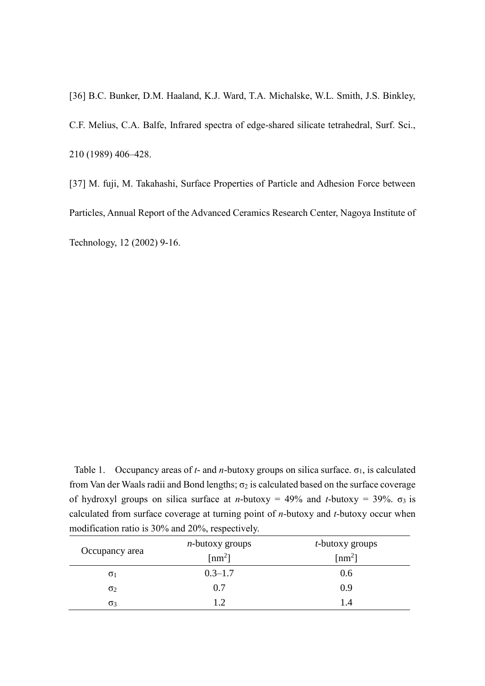[36] B.C. Bunker, D.M. Haaland, K.J. Ward, T.A. Michalske, W.L. Smith, J.S. Binkley, C.F. Melius, C.A. Balfe, Infrared spectra of edge-shared silicate tetrahedral, Surf. Sci., 210 (1989) 406–428.

[37] M. fuji, M. Takahashi, Surface Properties of Particle and Adhesion Force between Particles, Annual Report of the Advanced Ceramics Research Center, Nagoya Institute of Technology, 12 (2002) 9-16.

Table 1. Occupancy areas of  $t$ - and  $n$ -butoxy groups on silica surface.  $\sigma_1$ , is calculated from Van der Waals radii and Bond lengths;  $\sigma_2$  is calculated based on the surface coverage of hydroxyl groups on silica surface at *n*-butoxy = 49% and *t*-butoxy = 39%.  $\sigma_3$  is calculated from surface coverage at turning point of *n-*butoxy and *t-*butoxy occur when modification ratio is 30% and 20%, respectively.

| Occupancy area | <i>n</i> -butoxy groups | <i>t</i> -butoxy groups    |
|----------------|-------------------------|----------------------------|
|                | $\lceil nm^2 \rceil$    | $\lceil$ nm <sup>2</sup> ] |
| $\sigma_1$     | $0.3 - 1.7$             | 0.6                        |
| $\sigma_2$     | 0.7                     | 0.9                        |
| $\sigma_3$     | 1 <sub>2</sub>          | 14                         |